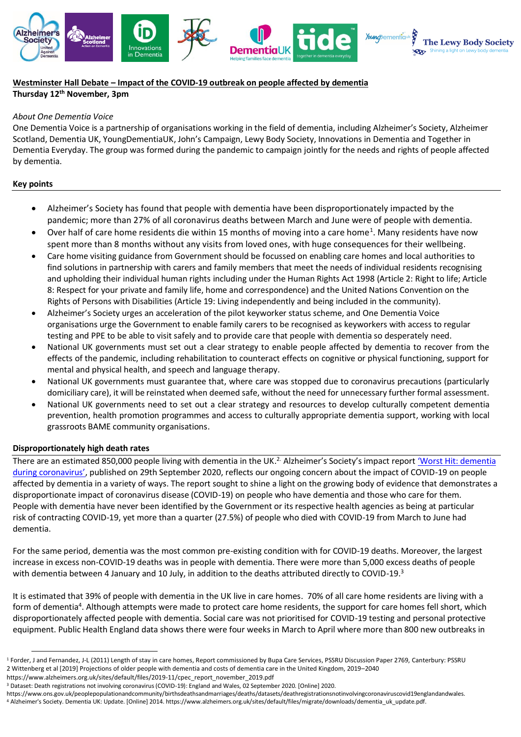



# **Westminster Hall Debate – Impact of the COVID-19 outbreak on people affected by dementia Thursday 12th November, 3pm**

# *About One Dementia Voice*

One Dementia Voice is a partnership of organisations working in the field of dementia, including Alzheimer's Society, Alzheimer Scotland, Dementia UK, YoungDementiaUK, John's Campaign, Lewy Body Society, Innovations in Dementia and Together in Dementia Everyday. The group was formed during the pandemic to campaign jointly for the needs and rights of people affected by dementia.

# **Key points**

- Alzheimer's Society has found that people with dementia have been disproportionately impacted by the pandemic; more than 27% of all coronavirus deaths between March and June were of people with dementia.
- Over half of care home residents die within 15 months of moving into a care home<sup>1</sup>. Many residents have now spent more than 8 months without any visits from loved ones, with huge consequences for their wellbeing.
- Care home visiting guidance from Government should be focussed on enabling care homes and local authorities to find solutions in partnership with carers and family members that meet the needs of individual residents recognising and upholding their individual human rights including under the Human Rights Act 1998 (Article 2: Right to life; Article 8: Respect for your private and family life, home and correspondence) and the United Nations Convention on the Rights of Persons with Disabilities (Article 19: Living independently and being included in the community).
- Alzheimer's Society urges an acceleration of the pilot keyworker status scheme, and One Dementia Voice organisations urge the Government to enable family carers to be recognised as keyworkers with access to regular testing and PPE to be able to visit safely and to provide care that people with dementia so desperately need.
- National UK governments must set out a clear strategy to enable people affected by dementia to recover from the effects of the pandemic, including rehabilitation to counteract effects on cognitive or physical functioning, support for mental and physical health, and speech and language therapy.
- National UK governments must guarantee that, where care was stopped due to coronavirus precautions (particularly domiciliary care), it will be reinstated when deemed safe, without the need for unnecessary further formal assessment.
- National UK governments need to set out a clear strategy and resources to develop culturally competent dementia prevention, health promotion programmes and access to culturally appropriate dementia support, working with local grassroots BAME community organisations.

### **Disproportionately high death rates**

There are an estimated 850,000 people living with dementia in the UK.<sup>2.</sup> Alzheimer's Society's impact report <u>'Worst Hit: dementia</u> [during coronavirus'](https://www.alzheimers.org.uk/sites/default/files/2020-09/Worst-hit-Dementia-during-coronavirus-report.pdf), published on 29th September 2020, reflects our ongoing concern about the impact of COVID-19 on people affected by dementia in a variety of ways. The report sought to shine a light on the growing body of evidence that demonstrates a disproportionate impact of coronavirus disease (COVID-19) on people who have dementia and those who care for them. People with dementia have never been identified by the Government or its respective health agencies as being at particular risk of contracting COVID-19, yet more than a quarter (27.5%) of people who died with COVID-19 from March to June had dementia.

For the same period, dementia was the most common pre-existing condition with for COVID-19 deaths. Moreover, the largest increase in excess non-COVID-19 deaths was in people with dementia. There were more than 5,000 excess deaths of people with dementia between 4 January and 10 July, in addition to the deaths attributed directly to COVID-19.<sup>3</sup>

It is estimated that 39% of people with dementia in the UK live in care homes. 70% of all care home residents are living with a form of dementia<sup>4</sup>. Although attempts were made to protect care home residents, the support for care homes fell short, which disproportionately affected people with dementia. Social care was not prioritised for COVID-19 testing and personal protective equipment. Public Health England data shows there were four weeks in March to April where more than 800 new outbreaks in

[https://www.alzheimers.org.uk/sites/default/files/2019-11/cpec\\_report\\_november\\_2019.pdf](https://www.alzheimers.org.uk/sites/default/files/2019-11/cpec_report_november_2019.pdf)

https://www.ons.gov.uk/peoplepopulationandcommunity/birthsdeathsandmarriages/deaths/datasets/deathregistrationsnotinvolvingcoronaviruscovid19englandandwales. <sup>4</sup> Alzheimer's Society. Dementia UK: Update. [Online] 2014. https://www.alzheimers.org.uk/sites/default/files/migrate/downloads/dementia\_uk\_update.pdf.

<sup>1</sup> Forder, J and Fernandez, J-L (2011) Length of stay in care homes, Report commissioned by Bupa Care Services, PSSRU Discussion Paper 2769, Canterbury: PSSRU 2 Wittenberg et al [2019] Projections of older people with dementia and costs of dementia care in the United Kingdom, 2019–2040

<sup>3</sup> Dataset: Death registrations not involving coronavirus (COVID-19): England and Wales, 02 September 2020. [Online] 2020.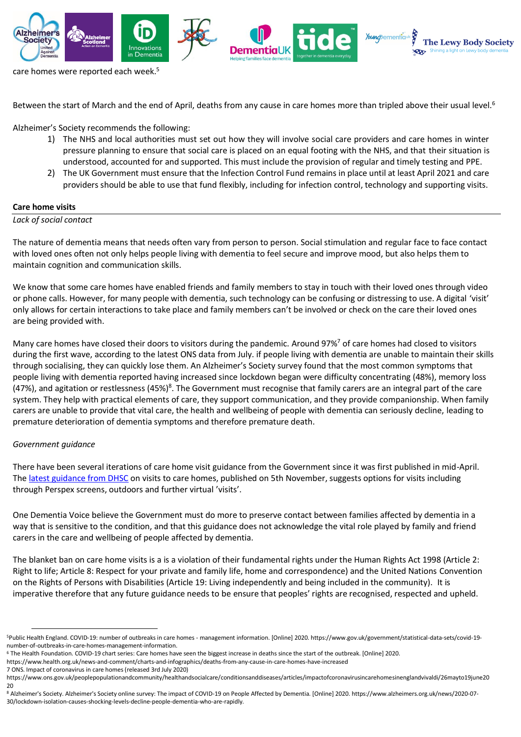

care homes were reported each week.<sup>5</sup>

Between the start of March and the end of April, deaths from any cause in care homes more than tripled above their usual level.<sup>6</sup>

Alzheimer's Society recommends the following:

- 1) The NHS and local authorities must set out how they will involve social care providers and care homes in winter pressure planning to ensure that social care is placed on an equal footing with the NHS, and that their situation is understood, accounted for and supported. This must include the provision of regular and timely testing and PPE.
- 2) The UK Government must ensure that the Infection Control Fund remains in place until at least April 2021 and care providers should be able to use that fund flexibly, including for infection control, technology and supporting visits.

### **Care home visits**

### *Lack of social contact*

The nature of dementia means that needs often vary from person to person. Social stimulation and regular face to face contact with loved ones often not only helps people living with dementia to feel secure and improve mood, but also helps them to maintain cognition and communication skills.

We know that some care homes have enabled friends and family members to stay in touch with their loved ones through video or phone calls. However, for many people with dementia, such technology can be confusing or distressing to use. A digital 'visit' only allows for certain interactions to take place and family members can't be involved or check on the care their loved ones are being provided with.

Many care homes have closed their doors to visitors during the pandemic. Around 97%<sup>7</sup> of care homes had closed to visitors during the first wave, according to the latest ONS data from July. if people living with dementia are unable to maintain their skills through socialising, they can quickly lose them. An Alzheimer's Society survey found that the most common symptoms that people living with dementia reported having increased since lockdown began were difficulty concentrating (48%), memory loss (47%), and agitation or restlessness (45%)<sup>8</sup>. The Government must recognise that family carers are an integral part of the care system. They help with practical elements of care, they support communication, and they provide companionship. When family carers are unable to provide that vital care, the health and wellbeing of people with dementia can seriously decline, leading to premature deterioration of dementia symptoms and therefore premature death.

#### *Government guidance*

There have been several iterations of care home visit guidance from the Government since it was first published in mid-April. The [latest guidance from DHSC](https://www.gov.uk/government/publications/visiting-care-homes-during-coronavirus/update-on-policies-for-visiting-arrangements-in-care-homes) on visits to care homes, published on 5th November, suggests options for visits including through Perspex screens, outdoors and further virtual 'visits'.

One Dementia Voice believe the Government must do more to preserve contact between families affected by dementia in a way that is sensitive to the condition, and that this guidance does not acknowledge the vital role played by family and friend carers in the care and wellbeing of people affected by dementia.

The blanket ban on care home visits is a is a violation of their fundamental rights under the Human Rights Act 1998 (Article 2: Right to life; Article 8: Respect for your private and family life, home and correspondence) and the United Nations Convention on the Rights of Persons with Disabilities (Article 19: Living independently and being included in the community). It is imperative therefore that any future guidance needs to be ensure that peoples' rights are recognised, respected and upheld.

https://www.health.org.uk/news-and-comment/charts-and-infographics/deaths-from-any-cause-in-care-homes-have-increased

7 ONS. Impact of coronavirus in care homes (released 3rd July 2020)

<sup>5</sup>Public Health England. COVID-19: number of outbreaks in care homes - management information. [Online] 2020. https://www.gov.uk/government/statistical-data-sets/covid-19 number-of-outbreaks-in-care-homes-management-information.

<sup>6</sup> The Health Foundation. COVID-19 chart series: Care homes have seen the biggest increase in deaths since the start of the outbreak. [Online] 2020.

[https://www.ons.gov.uk/peoplepopulationandcommunity/healthandsocialcare/conditionsanddiseases/articles/impactofcoronavirusincarehomesinenglandvivaldi/26mayto19june20](https://www.ons.gov.uk/peoplepopulationandcommunity/healthandsocialcare/conditionsanddiseases/articles/impactofcoronavirusincarehomesinenglandvivaldi/26mayto19june2020) [20](https://www.ons.gov.uk/peoplepopulationandcommunity/healthandsocialcare/conditionsanddiseases/articles/impactofcoronavirusincarehomesinenglandvivaldi/26mayto19june2020)

<sup>8</sup> Alzheimer's Society. Alzheimer's Society online survey: The impact of COVID-19 on People Affected by Dementia. [Online] 2020. https://www.alzheimers.org.uk/news/2020-07- 30/lockdown-isolation-causes-shocking-levels-decline-people-dementia-who-are-rapidly.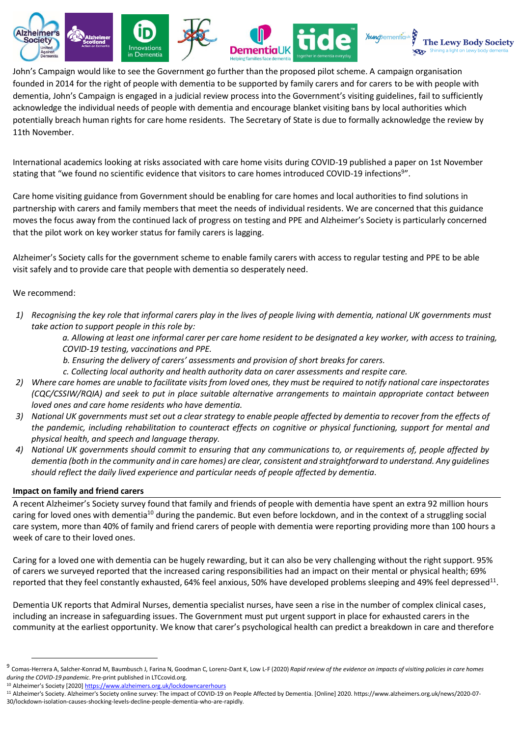

John's Campaign would like to see the Government go further than the proposed pilot scheme. A campaign organisation founded in 2014 for the right of people with dementia to be supported by family carers and for carers to be with people with dementia, John's Campaign is engaged in a judicial review process into the Government's visiting guidelines, fail to sufficiently acknowledge the individual needs of people with dementia and encourage blanket visiting bans by local authorities which potentially breach human rights for care home residents. The Secretary of State is due to formally acknowledge the review by 11th November.

International academics looking at risks associated with care home visits during COVID-19 published a paper on 1st November stating that "we found no scientific evidence that visitors to care homes introduced COVID-19 infections<sup>9</sup>".

Care home visiting guidance from Government should be enabling for care homes and local authorities to find solutions in partnership with carers and family members that meet the needs of individual residents. We are concerned that this guidance moves the focus away from the continued lack of progress on testing and PPE and Alzheimer's Society is particularly concerned that the pilot work on key worker status for family carers is lagging.

Alzheimer's Society calls for the government scheme to enable family carers with access to regular testing and PPE to be able visit safely and to provide care that people with dementia so desperately need.

### We recommend:

*1) Recognising the key role that informal carers play in the lives of people living with dementia, national UK governments must take action to support people in this role by:* 

*a. Allowing at least one informal carer per care home resident to be designated a key worker, with access to training, COVID-19 testing, vaccinations and PPE.* 

- *b. Ensuring the delivery of carers' assessments and provision of short breaks for carers.*
- *c. Collecting local authority and health authority data on carer assessments and respite care.*
- *2) Where care homes are unable to facilitate visits from loved ones, they must be required to notify national care inspectorates (CQC/CSSIW/RQIA) and seek to put in place suitable alternative arrangements to maintain appropriate contact between loved ones and care home residents who have dementia.*
- *3) National UK governments must set out a clear strategy to enable people affected by dementia to recover from the effects of the pandemic, including rehabilitation to counteract effects on cognitive or physical functioning, support for mental and physical health, and speech and language therapy.*
- *4) National UK governments should commit to ensuring that any communications to, or requirements of, people affected by dementia (both in the community and in care homes) are clear, consistent and straightforward to understand. Any guidelines should reflect the daily lived experience and particular needs of people affected by dementia.*

#### **Impact on family and friend carers**

A recent Alzheimer's Society survey found that family and friends of people with dementia have spent an extra 92 million hours caring for loved ones with dementia<sup>10</sup> during the pandemic. But even before lockdown, and in the context of a struggling social care system, more than 40% of family and friend carers of people with dementia were reporting providing more than 100 hours a week of care to their loved ones.

Caring for a loved one with dementia can be hugely rewarding, but it can also be very challenging without the right support. 95% of carers we surveyed reported that the increased caring responsibilities had an impact on their mental or physical health; 69% reported that they feel constantly exhausted, 64% feel anxious, 50% have developed problems sleeping and 49% feel depressed<sup>11</sup>.

Dementia UK reports that Admiral Nurses, dementia specialist nurses, have seen a rise in the number of complex clinical cases, including an increase in safeguarding issues. The Government must put urgent support in place for exhausted carers in the community at the earliest opportunity. We know that carer's psychological health can predict a breakdown in care and therefore

<sup>&</sup>lt;sup>9</sup> Comas-Herrera A, Salcher-Konrad M, Baumbusch J, Farina N, Goodman C, Lorenz-Dant K, Low L-F (2020) *Rapid review of the evidence on impacts of visiting policies in care homes during the COVID-19 pandemic*. Pre-print published in LTCcovid.org.

<sup>&</sup>lt;sup>10</sup> Alzheimer's Society [2020] <https://www.alzheimers.org.uk/lockdowncarerhours>

<sup>11</sup> Alzheimer's Society. Alzheimer's Society online survey: The impact of COVID-19 on People Affected by Dementia. [Online] 2020. https://www.alzheimers.org.uk/news/2020-07- 30/lockdown-isolation-causes-shocking-levels-decline-people-dementia-who-are-rapidly.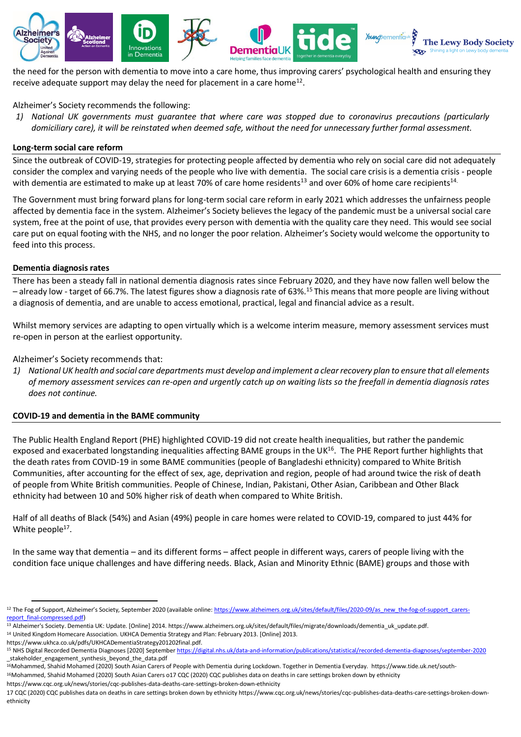

the need for the person with dementia to move into a care home, thus improving carers' psychological health and ensuring they receive adequate support may delay the need for placement in a care home<sup>12</sup>.

# Alzheimer's Society recommends the following:

*1) National UK governments must guarantee that where care was stopped due to coronavirus precautions (particularly domiciliary care), it will be reinstated when deemed safe, without the need for unnecessary further formal assessment.*

### **Long-term social care reform**

Since the outbreak of COVID-19, strategies for protecting people affected by dementia who rely on social care did not adequately consider the complex and varying needs of the people who live with dementia. The social care crisis is a dementia crisis - people with dementia are estimated to make up at least 70% of care home residents<sup>13</sup> and over 60% of home care recipients<sup>14.</sup>

The Government must bring forward plans for long-term social care reform in early 2021 which addresses the unfairness people affected by dementia face in the system. Alzheimer's Society believes the legacy of the pandemic must be a universal social care system, free at the point of use, that provides every person with dementia with the quality care they need. This would see social care put on equal footing with the NHS, and no longer the poor relation. Alzheimer's Society would welcome the opportunity to feed into this process.

### **Dementia diagnosis rates**

There has been a steady fall in national dementia diagnosis rates since February 2020, and they have now fallen well below the - already low - target of 66.7%. The latest figures show a diagnosis rate of 63%.<sup>15</sup> This means that more people are living without a diagnosis of dementia, and are unable to access emotional, practical, legal and financial advice as a result.

Whilst memory services are adapting to open virtually which is a welcome interim measure, memory assessment services must re-open in person at the earliest opportunity.

Alzheimer's Society recommends that:

*1) National UK health and social care departments must develop and implement a clear recovery plan to ensure that all elements of memory assessment services can re-open and urgently catch up on waiting lists so the freefall in dementia diagnosis rates does not continue.*

### **COVID-19 and dementia in the BAME community**

The Public Health England Report (PHE) highlighted COVID-19 did not create health inequalities, but rather the pandemic exposed and exacerbated longstanding inequalities affecting BAME groups in the UK<sup>16</sup>. The PHE Report further highlights that the death rates from COVID-19 in some BAME communities (people of Bangladeshi ethnicity) compared to White British Communities, after accounting for the effect of sex, age, deprivation and region, people of had around twice the risk of death of people from White British communities. People of Chinese, Indian, Pakistani, Other Asian, Caribbean and Other Black ethnicity had between 10 and 50% higher risk of death when compared to White British.

Half of all deaths of Black (54%) and Asian (49%) people in care homes were related to COVID-19, compared to just 44% for White people<sup>17</sup>.

In the same way that dementia – and its different forms – affect people in different ways, carers of people living with the condition face unique challenges and have differing needs. Black, Asian and Minority Ethnic (BAME) groups and those with

https://www.ukhca.co.uk/pdfs/UKHCADementiaStrategy201202final.pdf.

https://www.cqc.org.uk/news/stories/cqc-publishes-data-deaths-care-settings-broken-down-ethnicity

<sup>&</sup>lt;sup>12</sup> The Fog of Support, Alzheimer's Society, September 2020 (available online: [https://www.alzheimers.org.uk/sites/default/files/2020-09/as\\_new\\_the-fog-of-support\\_carers](https://www.alzheimers.org.uk/sites/default/files/2020-09/as_new_the-fog-of-support_carers-report_final-compressed.pdf)[report\\_final-compressed.pdf\)](https://www.alzheimers.org.uk/sites/default/files/2020-09/as_new_the-fog-of-support_carers-report_final-compressed.pdf)

<sup>13</sup> Alzheimer's Society. Dementia UK: Update. [Online] 2014. https://www.alzheimers.org.uk/sites/default/files/migrate/downloads/dementia\_uk\_update.pdf. <sup>14</sup> United Kingdom Homecare Association. UKHCA Dementia Strategy and Plan: February 2013. [Online] 2013.

<sup>15</sup> NHS Digital Recorded Dementia Diagnoses [2020] Septembe[r https://digital.nhs.uk/data-and-information/publications/statistical/recorded-dementia-diagnoses/september-2020](https://digital.nhs.uk/data-and-information/publications/statistical/recorded-dementia-diagnoses/september-2020) stakeholder engagement synthesis beyond the data.pdf

<sup>16</sup>Mohammed, Shahid Mohamed (2020) South Asian Carers of People with Dementia during Lockdown. Together in Dementia Everyday. https://www.tide.uk.net/south-

<sup>16</sup>Mohammed, Shahid Mohamed (2020) South Asian Carers o17 CQC (2020) CQC publishes data on deaths in care settings broken down by ethnicity

<sup>17</sup> CQC (2020) CQC publishes data on deaths in care settings broken down by ethnicity https://www.cqc.org.uk/news/stories/cqc-publishes-data-deaths-care-settings-broken-downethnicity